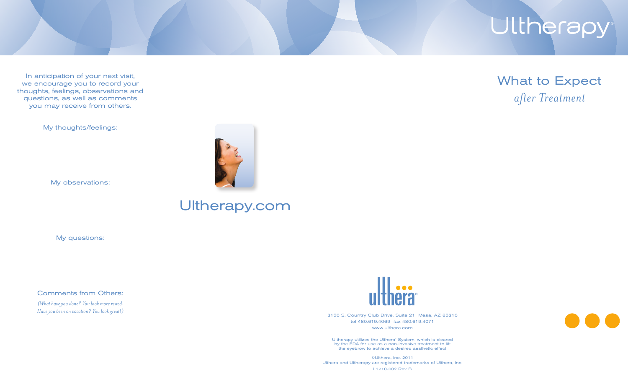## Ultherapy

In anticipation of your next visit, we encourage you to record your thoughts, feelings, observations and questions, as well as comments you may receive from others.

My thoughts/feelings:

My observations:

## Ultherapy.com

My questions:

Comments from Others:

*(What have you done? You look more rested. Have you been on vacation? You look great!)*



2150 S. Country Club Drive, Suite 21 Mesa, AZ 85210 tel 480.619.4069 fax 480.619.4071 www.ulthera.com

Ultherapy utilizes the Ulthera' System, which is cleared by the FDA for use as a non-invasive treatment to lift the eyebrow to achieve a desired aesthetic effect

©Ulthera, Inc. 2011 Ulthera and Ultherapy are registered trademarks of Ulthera, Inc. L1210-002 Rev B

What to Expect *after Treatment*